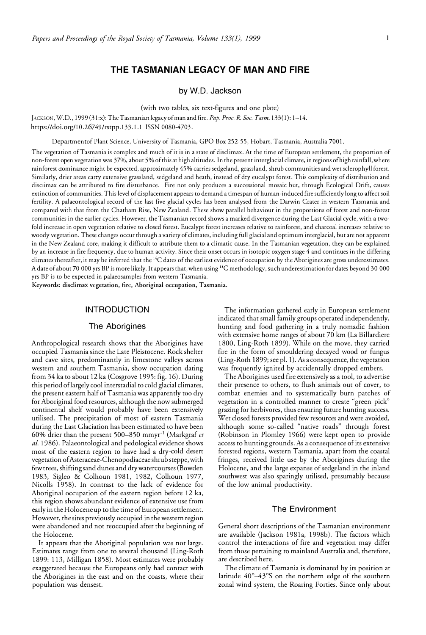# **THE TASMANIAN LEGACY OF MAN AND FIRE**

**by W.D. Jackson** 

(with two tables, six text-figures and one plate)

JACKSON, W.D., 1999 (31:x): The Tasmanian legacy of man and fire. *Pap. Proc. R. Soc. Tasm.* 133(1): 1-14. https://doi.org/10.26749/rstpp.133.1.1 ISSN 0080-4703.

Departmentof Plant Science, University of Tasmania, GPO Box 252-55, Hobart, Tasmania, Australia 7001.

The vegetation of Tasmania is complex and much of it is in a state of disclimax. At the time of European setdement, the proportion of non-forest open vegetation was 37%, about 5% of this at high altitudes. In the present interglacial climate, in regions of high rainfall, where rainforest dominance might be expected, approximately 45% carries sedgeland, grassland, shrub communities and wet sclerophyll forest. Similarly, drier areas carry extensive grassland, sedgeland and heath, instead of dry eucalypt forest. This complexity of distribution and disciimax can be attributed to fire disturbance. Fire not only produces a successional mosaic but, through Ecological Drift, causes extinction of communities. This level of displacement appears to demand a timespan of human-induced fire sufficiently long to affect soil fertility. A palaeontological record of the last five glacial cycles has been analysed from the Darwin Crater in western Tasmania and compared with that from the Chatham Rise, New Zealand. These show parallel behaviour in the proportions of forest and non-forest communities in the earlier cycles. However, the Tasmanian record shows a marked divergence during the Last Glacial cycle, with a twofold increase in open vegetation relative to closed forest. Eucalypt forest increases relative to rainforest, and charcoal increases relative to woody vegetation. These changes occur through a variety of climates, including full glacial and optimum interglacial, but are not apparent in the New Zealand core, making it difficult to attribute them to a climatic cause. In the Tasmanian vegetation, they can be explained by an increase in fire frequency, due to human activity. Since their onset occurs in isotopic oxygen stage 4 and continues in the differing climates thereafter, it may be inferred that the <sup>14</sup>C dates of the earliest evidence of occupation by the Aborigines are gross underestimates. A date of about 70 000 yrs BP is more likely. It appears that, when using <sup>14</sup>C methodology, such underestimation for dates beyond 30 000 yrs BP is to be expected in palaeosamples from western Tasmania.

Keywords: disdimax vegetation, fire, Aboriginal occupation, Tasmania.

## **INTRODUCTION**

### **The Aborigines**

Anthropological research shows that the Aborigines have occupied Tasmania since the Late Pleistocene. Rock shelter and cave sites, predominantly in limestone valleys across western and southern Tasmania, show occupation dating from 34 ka to about 12 ka (Cosgrove 1995: fig. 16). During this period oflargely cool interstadial to cold glacial climates, the present eastern half of Tasmania was apparently too dry for Aboriginal food resources, although the now submerged continental shelf would probably have been extensively utilised. The precipitation of most of eastern Tasmania during the Last Glaciation has been estimated to have been 60% drier than the present 500-850 mmyr-1 (Markgraf *et al.* 1986). Palaeontological and pedological evidence shows most of the eastern region to have had a dry-cold desert vegetation of Asteraceae-Chenopodiaceae shrub steppe, with few trees, shifting sand dunes and dry watercourses (Bowden 1983, Sigleo & Colhoun 1981, 1982, Colhoun 1977, Nicolls 1958). In contrast to the lack of evidence for Aboriginal occupation of the eastern region before 12 ka, this region shows abundant evidence of extensive use from early in the Holocene up to the time of European settlement. However, the sites previously occupied in the western region were abandoned and not reoccupied after the beginning of the Holocene.

It appears that the Aboriginal population was not large. Estimates range from one to several thousand (Ling-Roth 1899: 113, Milligan 1858). Most estimates were probably exaggerated because the Europeans only had contact with the Aborigines in the east and on the coasts, where their population was densest.

The information gathered early in European settlement indicated that small family groups operated independently, hunting and food gathering in a truly nomadic fashion with extensive home ranges of about 70 km (La Billardiere 1800, Ling-Roth 1899). While on the move, they carried fire in the form of smouldering decayed wood or fungus (Ling-Roth 1899; see pl. 1). As a consequence, the vegetation was frequently ignited by accidentally dropped embers.

The Aborigines used fire extensively as a tool, to advertise their presence to others, to flush animals out of cover, to combat enemies and to systematically burn patches of vegetation in a controlled manner to create "green pick" grazing for herbivores, thus ensuring future hunting success. Wet closed forests provided few resources and were avoided, although some so-called "native roads" through forest (Robinson in Plomley 1966) were kept open to provide access to hunting grounds. As a consequence of its extensive forested regions, western Tasmania, apart from the coastal fringes, received little use by the Aborigines during the Holocene, and the large expanse of sedgeland in the inland southwest was also sparingly utilised, presumably because of the low animal productivity.

## **The Environment**

General short descriptions of the Tasmanian environment are available Qackson 1981a, 19986). The factors which control the interactions of fire and vegetation may differ from those pertaining to mainland Australia and, therefore, are described here.

The climate of Tasmania is dominated by its position at latitude 40° -43° S on the northern edge of the southern zonal wind system, the Roaring Forties. Since only about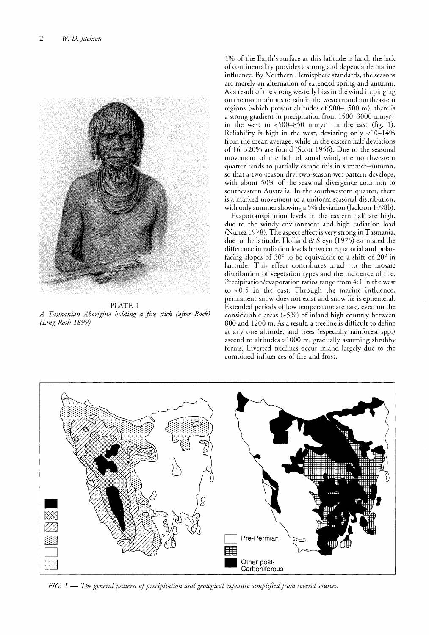

PLATE 1 *A Tasmanian Aborigine holding a fire stick (after Bock) (Ling-Roth 1899)*

4% of the Earth's surface at this latitude is land, the lack of continentality provides a strong and dependable marine influence. By Northern Hemisphere standards, the seasons are merely an alternation of extended spring and autumn. As a result of the strong westerly bias in the wind impinging on the mountainous terrain in the western and northeastern regions (which present altitudes of 900-1500 m), there is a strong gradient in precipitation from  $1500-3000$  mmyr<sup>-1</sup> in the west to  $\langle 500-850$  mmyr<sup>-1</sup> in the east (fig. 1). Reliability is high in the west, deviating only <10-14% from the mean average, while in the eastern half deviations of 16->20% are found (Scott 1956). Due to the seasonal movement of the belt of zonal wind, the northwestern quarter tends to partially escape this in summer-autumn, so that a two-season dry, two-season wet pattern develops, with about 50% of the seasonal divergence common to southeastern Australia. In the southwestern quarter, there is a marked movement to a uniform seasonal distribution, with only summer showing a 5% deviation Qackson 1998b).

Evapotranspiration levels in the eastern half are high, due to the windy environment and high radiation load (Nunez 1978). The aspect effect is very strong in Tasmania, due to the latitude. Holland & Steyn (1975) estimated the difference in radiation levels between equatorial and polarfacing slopes of 30 $^{\circ}$  to be equivalent to a shift of 20 $^{\circ}$  in latitude. This effect contributes much to the mosaic distribution of vegetation types and the incidence of fire. Precipitation/evaporation ratios range from 4: 1 in the west to <0.5 in the east. Through the marine influence, permanent snow does not exist and snow lie is ephemeral. Extended periods of low temperature are rare, even on the considerable areas  $(-5%)$  of inland high country between 800 and 1200 m. As a result, a treeline is difficult to define at any one altitude, and trees (especially rainforest spp.) ascend to altitudes > 1000 m, gradually assuming shrubby forms. Inverted treelines occur inland largely due to the combined influences of fire and frost.



*FIG.* I - *The general pattern ofprecipitation and geological exposure simplifiedfrom several sources.*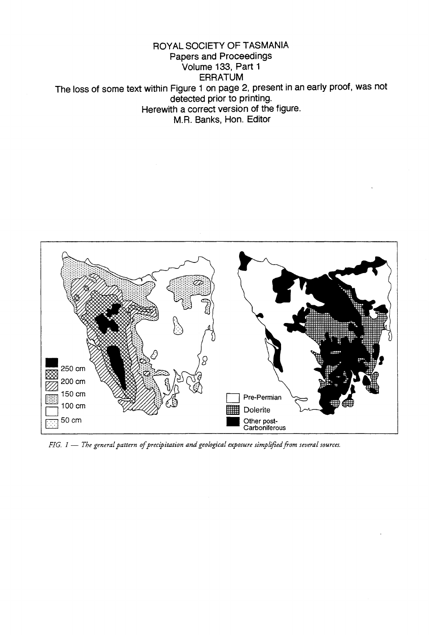ROYAL SOCIETY OF TASMANIA Papers and Proceedings .<br>Volume 133, Part 1 **ERRATUM** The loss of some text within Figure 1 on page 2, present in an early proof, was not detected prior to printing. Herewith a correct version of the figure. M.R. Banks, Hon. Editor



*FIG.*  $1 -$  *The general pattern of precipitation and geological exposure simplified from several sources.*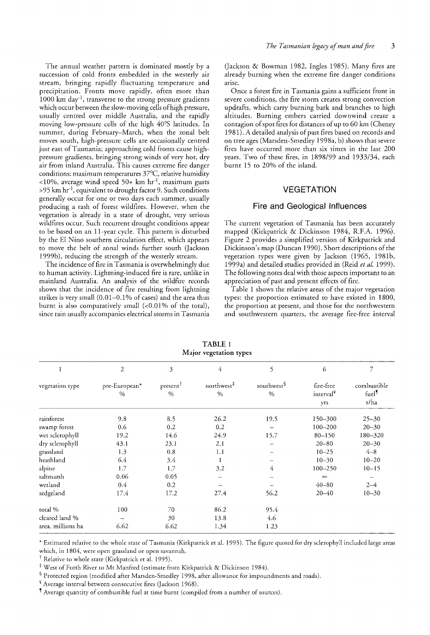The annual weather pattern is dominated mostly by a succession of cold fronts embedded in the westerly air stream, bringing rapidly fluctuating temperature and precipitation. Fronts move rapidly, often more than 1000 km day<sup>-1</sup>, transverse to the strong pressure gradients which occur between the slow-moving cells of high pressure, usually centred over middle Australia, and the rapidly moving low-pressure cells of the high 40°S latitudes. In summer, during February-March, when the zonal belt moves south, high-pressure cells are occasionally centred just east of Tasmania; approaching cold fronts cause highpressure gradients, bringing strong winds of very hot, dry air from inland Australia. This causes extreme fire danger conditions: maximum temperatures 37°C, relative humidity <10%, average wind speed 50+  $km \ hr^{-1}$ , maximum gusts >95 km hr<sup>-1</sup>, equivalent to drought factor 9. Such conditions generally occur for one or two days each summer, usually producing a rash of forest wildfires. However, when the vegetation is already in a state of drought, very serious wildfires occur. Such recurrent drought conditions appear to be based on an II-year cycle. This pattern is disturbed by the EI Nino southern circulation effect, which appears to move the belt of zonal winds further south (Jackson 1999b), reducing the strength of the westerly stream.

The incidence of fire in Tasmania is overwhelmingly due to human activity. Lightning-induced fire is rare, unlike in mainland Australia. An analysis of the wildfire records shows that the incidence of fire resulting from lightning strikes is very small  $(0.01-0.1\%$  of cases) and the area thus burnt is also comparatively small  $(<0.01\% \text{ of the total}),$ since rain usually accompanies electrical storms in Tasmania

(Jackson & Bowman 1982, Ingles 1985). Many fires are already burning when the extreme fire danger conditions arise

Once a forest fire in Tasmania gains a sufficient front in severe conditions, the fire storm creates strong convection updrafts, which carry burning bark and branches to high altitudes. Burning embers carried downwind create a contagion of spot fires fot distances of up to 60 km (Cheney 1981). A detailed analysis of past fires based on records and on tree ages (Marsden-Smedley 1998a, b) shows that severe fires have occurred more than six times in the last 200 years. Two of these fires, in 1898/99 and 1933/34, each burnt 15 to 20% of the island.

# VEGETATION

### Fire and Geological Influences

The current vegetation of Tasmania has been accurately mapped (Kirkpatrick & Dickinson 1984, R.F.A. 1996). Figure 2 provides a simplified version of Kirkpatrick and Dickinson's map (Duncan 1990). Short descriptions of the vegetation types were given by Jackson (1965, 1981b, 1999a) and detailed studies provided in (Reid *et al* 1999). The following notes deal with those aspects important to an appreciation of past and present effects of fire.

Table 1 shows the relative areas of the major vegetation types: the proportion estimated to have existed in 1800, the proportion at present, and those for the northwestern and southwestern quarters, the average fire-free interval

| ,<br>$\sigma$<br>7 L |                       |                          |                                |                                |                                           |                                          |  |  |  |
|----------------------|-----------------------|--------------------------|--------------------------------|--------------------------------|-------------------------------------------|------------------------------------------|--|--|--|
| 1                    | $\mathfrak{2}$        | 3                        | $\overline{4}$                 | 5                              | 6                                         | 7                                        |  |  |  |
| vegetation type      | pre-European*<br>$\%$ | present<br>$\frac{0}{0}$ | northwest <sup>‡</sup><br>$\%$ | southwest <sup>§</sup><br>$\%$ | fire-free<br>interval <sup>¥</sup><br>yrs | combustible<br>fuel <sup>9</sup><br>t/ha |  |  |  |
| rainforest           | 9.8                   | 8.5                      | 26.2                           | 19.5                           | 150-300                                   | $25 - 30$                                |  |  |  |
| swamp forest         | 0.6                   | 0.2                      | 0.2                            |                                | $100 - 200$                               | $20 - 30$                                |  |  |  |
| wet sclerophyll      | 19.2                  | 14.6                     | 24.9                           | 15.7                           | $80 - 150$                                | 180-320                                  |  |  |  |
| dry sclerophyll      | 43.1                  | 23.1                     | 2.1                            |                                | $20 - 80$                                 | $20 - 30$                                |  |  |  |
| grassland            | 1.3                   | 0.8                      | 1.1                            |                                | $10 - 25$                                 | $4 - 8$                                  |  |  |  |
| heathland            | 6.4                   | 3.4                      | 1                              |                                | $10 - 30$                                 | $10 - 20$                                |  |  |  |
| alpine               | 1.7                   | 1.7                      | 3.2                            | 4                              | $100 - 250$                               | $10 - 15$                                |  |  |  |
| saltmarsh            | 0.06                  | 0.05                     |                                |                                | $\infty$                                  |                                          |  |  |  |
| wetland              | 0.4                   | 0.2                      |                                |                                | $40 - 80$                                 | $2 - 4$                                  |  |  |  |
| sedgeland            | 17.4                  | 17.2                     | 27.4                           | 56.2                           | $20 - 40$                                 | $10 - 30$                                |  |  |  |
| total %              | 100                   | 70                       | 86.2                           | 95.4                           |                                           |                                          |  |  |  |
| cleared land %       |                       | 30                       | 13.8                           | 4.6                            |                                           |                                          |  |  |  |
| area, millions ha    | 6.62                  | 6.62                     | 1.34                           | 1.23                           |                                           |                                          |  |  |  |
|                      |                       |                          |                                |                                |                                           |                                          |  |  |  |

TABLE 1 Major vegetation types

\* Estimated relative to the whole state of Tasmania (Kirkpatrick et al. 1995). The figure quoted for dry sclerophyll included large areas which, in 1804, were open grassland or open savannah.

 $\dagger$  Relative to whole state (Kirkpatrick et al. 1995).

\* West of Forth River to Mt Manfred (estimate from Kirkpatrick & Dickinson 1984).

§ Protected region (modified after Marsden-Smedley 1998, after allowance for impoundments and roads).

¥Average interval between consecutive fires Qackson 1968).

<sup>1</sup> Average quantity of combustible fuel at time burnt (compiled from a number of sources).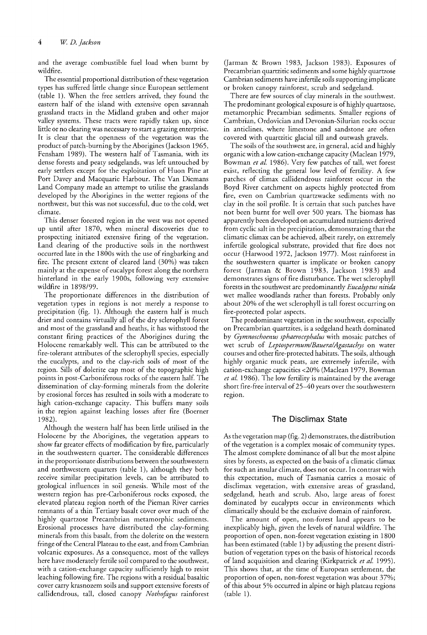and the average combustible fuel load when burnt wildfire.

The essential proportional distribution of these vegetation types has suffered little change since European settlement (table 1). When the free settlers arrived, they found the eastern half of the island with extensive open savannah grassland tracts in the Midland graben and other major valley systems. These tracts were rapidly taken up, since little or no clearing was necessary to start a grazing enterprise. It is clear that the openness of the vegetation was the product of patch-burning by the Aborigines (Jackson 1965, Fensham 1989). The western half of Tasmania, with its dense forests and peaty sedgelands, was left untouched by early settlers except for the exploitation of Huon Pine at Port Davey and Macquarie Harbour. The Van Diemans Land Company made an attempt to utilise the grasslands developed by the Aborigines in the wetter regions of the northwest, but this was not successful, due to the cold, wet climate.

This denser forested region in the west was not opened up until after 1870, when mineral discoveries due to prospecting initiated extensive firing of the vegetation. Land clearing of the productive soils in the northwest occurred late in the 1800s with the use of ringbarking and fire. The present extent of cleared land  $(30\%)$  was taken mainly at the expense of eucalypt forest along the northern hinterland in the early 1900s, following very extensive wildfire in 1898/99.

The proportionate differences in the distribution of vegetation types in regions is not merely a response to precipitation (fig. 1). Although the eastern half is much drier and contains virtually all of the dry sclerophyll forest and most of the grassland and heaths, it has withstood the constant firing practices of the Aborigines during the Holocene remarkably well. This can be attributed to the fire-tolerant attributes of the sclerophyll species, especially the eucalypts, and to the clay-rich soils of most of the region. Sills of dolerite cap most of the topographic high points in post-Carboniferous rocks of the eastern half. The dissemination of clay-forming minerals from the dolerite by erosional forces has resulted in soils with a moderate to high cation-exchange capacity. This buffers many soils in the region against leaching losses after fire (Boerner 1982).

Although the western half has been little utilised in the Holocene by the Aborigines, the vegetation appears to show far greater effects of modification by fire, particularly in the southwestern quarter. The considerable differences in the proportionate distributions between the southwestern and northwestern quarters (table 1), although they both receive similar precipitation levels, can be attributed to geological influences in soil genesis. While most of the western region has pre-Carboniferous rocks exposed, the elevated plateau region north of the Pieman River carries remnants of a thin Tertiary basalt cover over much of the highly quartzose Precambrian metamorphic sediments. Erosional processes have distributed the clay-forming minerals from this basalt, from the dolerite on the western fringe of the Central Plateau to the east, and from Cambrian volcanic exposures. As a consequence, most of the valleys here have moderately fertile soil compared to the southwest, with a cation-exchange capacity sufficiently high to resist leaching following fire. The regions with a residual basaltic cover carry krasnozem soils and support extensive forests of callidendrous, tall, closed canopy *Nothofagus* rainforest

(Jarman & Brown 1983, Jackson 1983). Exposures of Precambrian quartzitic sediments and some highly quartzose Cambrian sediments have infertile soils supporting implicate or broken canopy rainforest, scrub and sedgeland.

There are few sources of clay minerals in the southwest. The predominant geological exposure is of highly quartzose, metamorphic Precambian sediments. Smaller regions of Cambrian, Ordovician and Devonian-Silurian rocks occur in anticlines, where limestone and sandstone are often covered with quartzitic glacial till and outwash gravels.

The soils of the southwest are, in general, acid and highly organic with a low cation-exchange capacity (Maclean 1979, Bowman *et al.* 1986). Very few patches of tall, wet forest exist, reflecting the general low level of fertility. A few patches of climax callidendrous rainforest occur in the Boyd River catchment on aspects highly protected from fire, even on Cambrian quartzwacke sediments with no clay in the soil profile. It is certain that such patches have not been burnt for well over 500 years. The biomass has apparently been developed on accumulated nutrients derived from cyclic salt in the precipitation, demonstrating that the climatic climax can be achieved, albeit rarely, on extremely infertile geological substrate, provided that fire does not occur (Harwood 1972, Jackson 1977). Most rainforest in the southwestern quarter is implicate or broken canopy forest (Jarman & Brown 1983, Jackson 1983) and demonstrates signs of fire disturbance. The wet sclerophyll forests in the southwest are predominantly *Eucalyptus nitida* wet mallee woodlands rather than forests. Probably only about 20% of the wet sclerophyll is tall forest occurring on fire-protected polar aspects.

The predominant vegetation in the southwest, especially on Precambrian quartzites, is a sedgeland heath dominated by *Gymnoschoenus sphaerocephalus* with mosaic patches of wet scrub of *Leptospermum/Bauera/Agastachys* on water courses and other fire-protected habitats. The soils, although highly organic muck peats, are extremely infertile, with cation-exchange capacities <20% (Maclean 1979, Bowman *et al.* 1986). The low fertility is maintained by the average short fire-free interval of25-40 years over the southwestern region.

## The Disclimax State

As the vegetation map (fig. 2) demonstrates, the distribution of the vegetation is a complex mosaic of community types. The almost complete dominance of all but the most alpine sites by forests, as expected on the basis of a climatic climax for such an insular climate, does not occur. In contrast with this expectation, much of Tasmania carries a mosaic of disclimax vegetation, with extensive areas of grassland, sedgeland, heath and scrub. Also, large areas of forest dominated by eucalypts occur in environments which climatically should be the exclusive domain of rainforest.

The amount of open, non-forest land appears to be inexplicably high, given the levels of natural wildfire. The proportion of open, non-forest vegetation existing in 1800 has been estimated (table 1) by adjusting the present distribution of vegetation types on the basis of historical records of land acquisition and clearing (Kirkpatrick et al. 1995). This shows that, at the time of European settlement, the proportion of open, non-forest vegetation was about 37%; of this about 5% occurred in alpine or high plateau regions (table 1).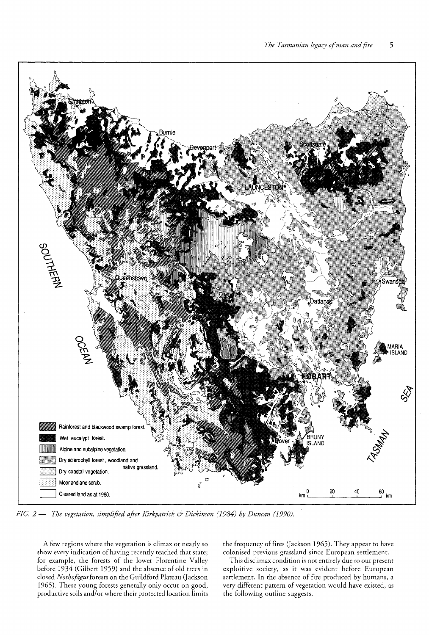

*FIG.* 2 - *The vegetation) simplified after Kirkpatrick* & *Dickinson* (1984) *by Duncan (1990).*

A few regions where the vegetation is climax or nearly so show every indication of having recently reached that state; for example, the forests of the lower Florentine Valley before 1934 (Gilbert 1959) and the absence of old trees in closed *Nothofagus*forests on the Guildford Plateau Qackson 1965). These young forests generally only occur on good, productive soils and/or where their protected location limits the frequency of fires (Jackson 1965). They appear to have colonised previous grassland since European settlement.

This disclimax condition is not entirely due to our present exploitive society, as it was evident before European settlement. In the absence of fire produced by humans, a very different pattern of vegetation would have existed, as the following outline suggests.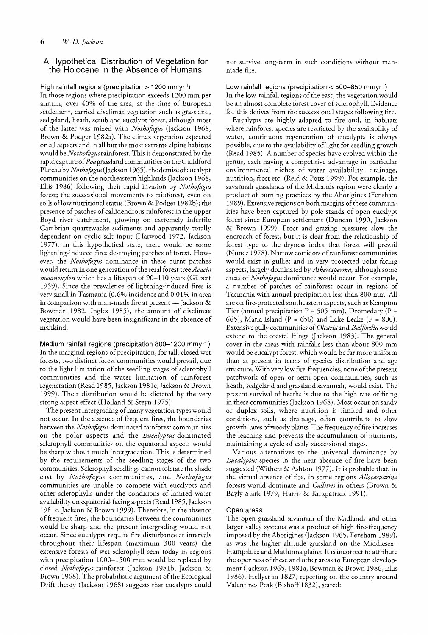# A Hypothetical Distribution of Vegetation for the Holocene in the Absence of Humans

High rainfall regions (precipitation > 1200 mmyr<sup>-1</sup>) In those regions where precipitation exceeds 1200 mm per annum, over 40% of the area, at the time of European settlement, carried disclimax vegetation such as grassland, sedgeland, heath, scrub and eucalypt forest, although most of the latter was mixed with *Nothofagus* (Jackson 1968, Brown & Podger 1982a). The climax vegetation expected on all aspects and in all but the most extreme alpine habitats would be *Nothofagus*rainforest. Thisis demonstrated by the rapid capture of*Poa* grassland communities onthe Guildford Plateau by*Nothofagus(Jackson* 1965); the demise ofeucalypt communities on the northeastern highlands (Jackson 1968, Ellis 1986) following their rapid invasion by *Nothofagus* forest; the successional movements to rainforest, even on soils oflow nutritional status (Brown & Podger 1982b); the presence of patches of callidendrous rainforest in the upper Boyd river catchment, growing on extremely infertile Cambrian quartzwacke sediments and apparently totally dependent on cyclic salt input (Harwood 1972, Jackson 1977). In this hypothetical state, there would be some lightning-induced fires destroying patches of forest. However, the *Nothofagus* dominance in these burnt patches would return in one generation ofthe seral forest tree *Acacia melanoxylon* which has a lifespan of 90-110 years (Gilbert 1959). Since the prevalence of lightning-induced fires is very small in Tasmania (0.60/0 incidence and 0.01 % in area in comparison with man-made fire at present — Jackson  $\&$ Bowman 1982, Ingles 1985), the amount of disclimax vegetation would have been insignificant in the absence of mankind.

Medium rainfall regions (precipitation 800-1200 mmyr-1) In the marginal regions of precipitation, for tall, closed wet forests, two distinct forest communities would prevail, due to the light limitation of the seedling stages of sclerophyll communities and the water limitation of rainforest regeneration (Read 1985, Jackson 1981c, Jackson & Brown 1999). Their distribution would be dictated by the very strong aspect effect (Holland & Steyn 1975).

The present intergrading of many vegetation types would not occur. In the absence of frequent fires, the boundaries between the *Nothofagus-dominated* rainforest communities on the polar aspects and the *Eucalyptus-*dominated sclerophyll communities on the equatorial aspects would be sharp without much intergradation. This is determined by the requirements of the seedling stages of the two communities. Sclerophyll seedlings cannot tolerate the shade cast by *Nothofagus* communities, and *Nothofagus* communities are unable to compete with eucalypts and other sclerophylls under the conditions of limited water availability on equatorial-facing aspects (Read 1985,Jackson 1981c, Jackson & Brown 1999). Therefore, in the absence offrequent fires, the boundaries between the communities would be sharp and the present intergrading would not occur. Since eucalypts require fire disturbance at intervals throughout their lifespan (maximum 300 years) the extensive forests of wet sclerophyll seen today in regions with precipitation 1000-1500 mm would be replaced by closed *Nothofagus* rainforest (Jackson 1981 b, Jackson & Brown 1968). The probabilistic argument of the Ecological Drift theory (Jackson 1968) suggests that eucalypts could

not survive long-term in such conditions without manmade fire.

Low rainfall regions (precipitation  $<$  500–850 mmyr  $^{\prime}$ In the low-rainfall regions of the east, the vegetation would be an almost complete forest cover of sclerophyll. Evidence for this derives from the successional stages following fire.

Eucalypts are highly adapted to fire and, in habitats where rainforest species are restricted by the availability of water, continuous regeneration of eucalypts is always possible, due to the availability of light for seedling growth (Read 1985). A number of species have evolved within the genus, each having a competitive advantage in particular environmental niches of water availability, drainage, nutrition, frost etc. (Reid & Potts 1999). For example, the savannah grasslands of the Midlands region were clearly a product of burning practices by the Aborigines (Fensham 1989). Extensive regions on both margins of these communities have been captured by pole stands of open eucalypt forest since European settlement (Duncan 1990, Jackson & Brown 1999). Frost and grazing pressures slow the encroach of forest, but it is clear from the relationship of forest type to the dryness index that forest will prevail (Nunez 1978). Narrow corridors of rainforest communities would exist in gullies and in very protected polar-facing aspects, largely dominated by *Atherosperma,* although some areas of *Nothofagus* dominance would occur. For example, a number of patches of rainforest occur in regions of Tasmania with annual precipitation less than 800 mm. All are on fire-protected southeastern aspects, such as Kempton Tier (annual precipitation  $P = 505$  mm), Dromedary (P = 665), Maria Island (P = 656) and Lake Leake (P = 800). Extensive gully communities of *Olearia* and *Bedfordia*would extend to the coastal fringe (Jackson 1983). The general cover in the areas with rainfalls less than about 800 mm would be eucalypt forest, which would be far more uniform than at present in terms of species distribution and age structure. With very low fire-frequencies, none of the present patchwork of open or semi-open communities, such as heath, sedgeland and grassland savannah, would exist. The present survival of heaths is due to the high rate of firing in these communities (Jackson 1968). Most occur on sandy or duplex soils, where nutrition is limited and other conditions, such as drainage, often contribute to slow growth-rates of woody plants. The frequency of fire increases the leaching and prevents the accumulation of nutrients, maintaining a cycle of early successional stages.

Various alternatives to the universal dominance by *Eucalyptus* species in the near absence of fire have been suggested (Withers & Ashton 1977). It is probable that, in the virtual absence of fire, in some regions *Allocasuarina* forests would dominate and *Callitris* in others (Brown & Bayly Stark 1979, Harris & Kirkpatrick 1991).

#### Open areas

The open grassland savannah of the Midlands and other larger valley systems was a product of high fire-frequency imposed by the Aborigines (Jackson 1965, Fensham 1989), as was the higher altitude grassland on the Middlesex-Hampshire and Mathinna plains. It is incorrect to attribute the openness of these and other areas to European development (Jackson 1965, 1981a, Bowman & Brown 1986, Ellis 1986). Hellyer in 1827, reporting on the country around Valentines Peak (Bishoff 1832), stated: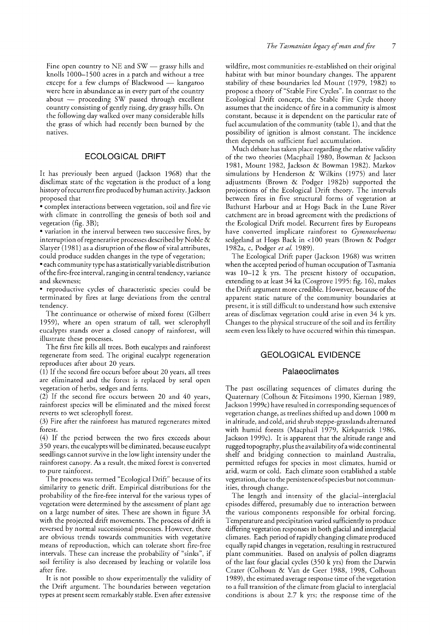Fine open country to  $NE$  and  $SW$  - grassy hills and knolls 1000-1500 acres in a patch and without a tree except for a few clumps of Blackwood  $-$  kangaroo were here in abundance as in every part of the country  $about$  proceeding SW passed through excellent country consisting ofgently rising, dry grassy hills. On the following day walked over many considerable hills the grass of which had recently been burned by the natives.

## ECOLOGICAL DRIFT

It has previously been argued Gackson 1968) that the disclimax state of the vegetation is the product of a long history of recurrent fire produced by human activity. Jackson proposed that

• complex interactions between vegetation, soil and fire vie with climate in controlling the genesis of both soil and vegetation (fig. 3B);

• variation in the interval between two successive fires, by interruption of regenerative processes described by Noble  $\&$ Slatyer  $(1981)$  as a disruption of the flow of vital attributes, could produce sudden changes in the type of vegetation;

• each community type has a statisticallyvariable distribution ofthe fire-free interval, ranging in central tendency, variance and skewness;

• reproductive cycles of characteristic species could be terminated by fires at large deviations from the central tendency.

The continuance or otherwise of mixed forest (Gilbert 1959), where an open stratum of tall, wet sclerophyll eucalypts stands over a closed canopy of rainforest, will illustrate these processes.

The first fire kills all trees. Both eucalypts and rainforest regenerate from seed. The original eucalypt regeneration reproduces after about 20 years.

(1) If the second fire occurs before about 20 years, all trees are eliminated and the forest is replaced by seral open vegetation of herbs, sedges and ferns.

(2) If the second fire occurs between 20 and 40 years, rainforest species will be eliminated and the mixed forest reverts to wet sclerophyll forest.

(3) Fire after the rainforest has matured regenerates mixed forest.

(4) If the period between the two fires exceeds about 350 years, the eucalypts will be eliminated, because eucalypt seedlings cannot survive in the low light intensity under the rainforest canopy. As a result, the mixed forest is converted to pure rainforest.

The process was termed "Ecological Drift" because of its similarity to genetic drift. Empirical distributions for the probability of the fire-free interval for the various types of vegetation were determined by the assessment of plant age on a large number of sites. These are shown in figure 3A with the projected drift movements. The process of drift is reversed by normal successional processes. However, there are obvious trends towards communities with vegetative means of reproduction, which can tolerate short fire-free intervals. These can increase the probability of "sinks", if soil fertility is also decreased by leaching or volatile loss after fire.

It is not possible to show experimentally the validity of the Drift argument. The boundaries between vegetation types at present seem remarkably stable. Even after extensive

wildfire, most communities re-established on their original habitat with but minor boundary changes. The apparent stability of these boundaries led Mount (1979, 1982) to propose a theory of "Stable Fire Cycles". In contrast to the Ecological Drift concept, the Stable Fire Cycle theory assumes that the incidence of fire in a community is almost constant, because it is dependent on the particular rate of fuel accumulation of the community (table 1), and that the possibility of ignition is almost constant. The incidence then depends on sufficient fuel accumulation.

Much debate has taken place regarding the relative validity of the two theories (Macphail 1980, Bowman & Jackson 1981, Mount 1982, Jackson & Bowman 1982). Markov simulations by Henderson & Wilkins (1975) and later adjustments (Brown & Podger 1982b) supported the projections of the Ecological Drift theory. The intervals between fires in five structural forms of vegetation at Bathurst Harbour and at Hogs Back in the Lune River catchment are in broad agreement with the predictions of the Ecological Drift model. Recurrent fires by Europeans have converted implicate rainforest to *Gymnoschoenus* sedgeland at Hogs Back in <100 years (Brown & Podger 1982a, c, Podger *et al* 1989).

The Ecological Drift paper (Jackson 1968) was written when the accepted period of human occupation of Tasmania was 10-12 k yrs. The present history of occupation, extending to at least 34 ka (Cosgrove 1995: fig. 16), makes the Drift argument more credible. However, because of the apparent static nature of the community boundaries at present, it is still difficult to understand how such extensive areas of disclimax vegetation could arise in even 34 k yrs. Changes to the physical structure of the soil and its fertility seem even less likely to have occurred within this timespan.

# GEOLOGICAL EVIDENCE

#### Palaeoclimates

The past oscillating sequences of climates during the Quaternary (Colhoun & Fitzsimons 1990, Kiernan 1989, Jackson 1999c) have resulted in corresponding sequences of vegetation change, as treelines shifted up and down 1000 m in altitude, and cold, arid shrub steppe-grasslands alternated with humid forests (Macphail 1979, Kirkpatrick 1986, Jackson 1999c). It is apparent that the altitude range and rugged topography, plus the availability ofawide continental shelf and bridging connection to mainland Australia, permitted refuges for species in most climates, humid or arid, warm or cold. Each climate soon established a stable vegetation, due to the persistence ofspecies but not communities, through change.

The length and intensity of the glacial-interglacial episodes differed, presumably due to interaction between the various components responsible for orbital forcing. Temperature and precipitation varied sufficiently to produce differing vegetation responses in both glacial and interglacial climates. Each period ofrapidly changing climate produced equally rapid changes in vegetation, resulting in restructured plant communities. Based on analysis of pollen diagrams of the last four glacial cycles (350 k yrs) from the Darwin Crater (Colhoun & Van de Geer 1988, 1998, Colhoun 1989), the estimated average response time of the vegetation to a full transition of the climate from glacial to interglacial conditions is about 2.7 k yrs; the response time of the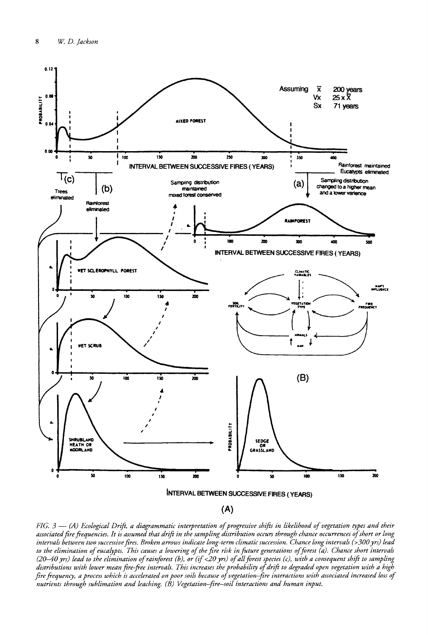

(A)

FIG. 3 - (A) Ecological Drift, a diagrammatic interpretation of progressive shifts in likelihood of vegetation types and their associated fire frequencies. It is assumed that drift in the sampling distribution occurs through chance occurrences of short or long intervals between two successive fires. Broken arrows indicate long-term climatic succession. Chance long intervals (>300 yrs) lead to the elimination of eucalypts. This causes a lowering of the fire risk in future generations of forest (a). Chance short intervals (20–40 yrs) lead to the elimination of rainforest (b), or (if <20 yrs) of all forest species (c), with a consequent shift to sampling distributions with lower mean fire-free intervals. This increases the probability of drift to degraded open vegetation with a high fire frequency, a process which is accelerated on poor soils because of vegetation–fire interactions with associated increased loss of *nutrients through sublimation and leaching. (B) Vegetation-fire-soil interactions and human input.*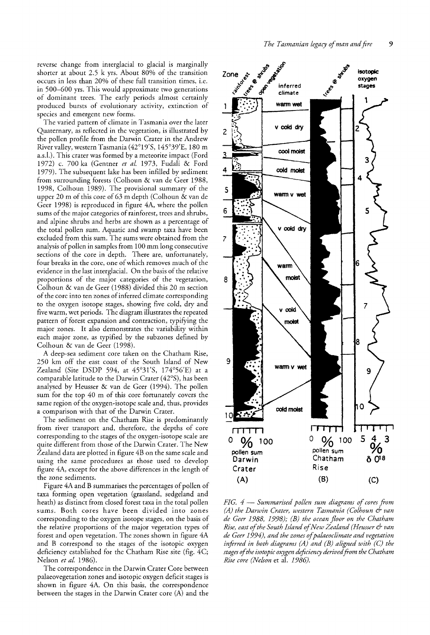reverse change from interglacial to glacial is marginally shorter at about  $2.5$  k yrs. About  $80\%$  of the transition occurs in less than 20% of these full transition times, i.e. in 500-600 yrs. This would approximate two generations of dominant trees. The early periods almost certainly produced bursts of evolutionary activity, extinction of species and emergent new forms.

The varied pattern of climate in Tasmania over the later Quaternary, as reflected in the vegetation, is illustrated by the pollen profile from the Darwin Crater in the Andrew River valley, western Tasmania (42°19'5, 145°39'E, 180 m a.s.l.). This crater was formed by a meteorite impact (Ford 1972) c. 700 ka (Gentner *et al.* 1973, Fudali & Ford 1979). The subsequent lake has been infilled by sediment from surrounding forests (Colhoun & van de Geer 1988, 1998, Colhoun 1989). The provisional summary of the upper 20 m of this core of 63 m depth (Colhoun & van de Geer 1998) is reproduced in figure 4A, where the pollen sums of the major categories of rainforest, trees and shrubs, and alpine shrubs and herbs are shown as a percentage of the total pollen sum. Aquatic and swamp taxa have been excluded from this sum. The sums were obtained from the analysis of pollen in samples from 100 mm long consecutive sections of the core in depth. There are, unfortunately, four breaks in the core, one of which removes much of the evidence in the last interglacial. On the basis of the relative proportions of the major categories of the vegetation, Colhoun & van de Geer (1988) divided this 20 m section of the core into ten zones of inferred climate corresponding to the oxygen isotope stages, showing five cold, dry and five warm, wet periods. The diagram illustrates the repeated pattern of forest expansion and contraction, typifying the major zones. It also demonstrates the variability within each major zone, as typified by the subzones defined by Colhoun & van de Geer (1998).

A deep-sea sediment core taken on the Chatham Rise, 250 km off the east coast of the South Island of New Zealand (Site DSDP 594, at 45°31 '5, 174°56'E) at a comparable latitude to the Darwin Crater (42°5), has been analysed by Heusser & van de Geer (1994). The pollen sum for the top 40 m of this core fortunately covers the same region of the oxygen-isotope scale and, thus, provides a comparison with that of the Darwin Crater.

The sediment on the Chatham Rise is predominantly from river transport and, therefore, the depths of core corresponding to the stages of the oxygen-isotope scale are quite different from those of the Darwin Crater. The New Zealand data are plotted in figure 4B on the same scale and using the same procedures as those used to develop figure 4A, except for the above differences in the length of the zone sediments.

Figure 4A and B summarises the percentages of pollen of taxa forming open vegetation (grassland, sedgeland and heath) as distinct from closed forest taxa in the total pollen sums. Both cores have been divided into zones corresponding to the oxygen isotope stages, on the basis of the relative proportions of the major vegetation types of forest and open vegetation. The zones shown in figure 4A and B correspond to the stages of the isotopic oxygen deficiency established for the Chatham Rise site (fig. 4C; Nelson *et al.* 1986).

The correspondence in the Darwin Crater Core between palaeovegetation zones and isotopic oxygen deficit stages is shown in figure 4A. On this basis, the correspondence between the stages in the Darwin Crater core  $(A)$  and the



*FIG.* 4 - *Summarised pollen sum diagrams of cores from (A) the Darwin Crater, western Tasmania (Colhoun* & *van de Geer* 1988, 1998); *(B) the ocean floor on the Chatham Rise, east ofthe South Island ofNew Zealand (Heusser* & *van de Geer* 1994), *and the zones ofpalaeoclimate and vegetation inferred in both diagrams (A) and (B) aligned with (C) the stages ofthe isotopic oxygen deficiency derivedfrom the Chatham Rise core (Nelson* et al. 1986).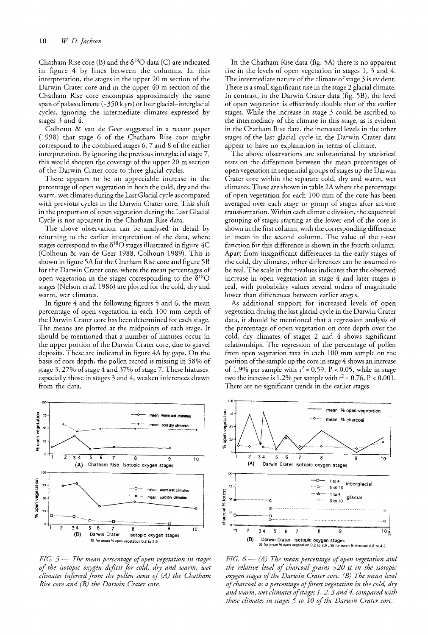Chatham Rise core (B) and the  $\delta^{18}O$  data (C) are indicated in figure 4 by lines between the columns. In this interpretation, the stages in the upper 20 m section of the Darwin Crater core and in the upper 40 m section of the Chatham Rise core encompass approximately the same span of palaeoclimate ( $-350$  k yrs) or four glacial-interglacial cycles, ignoring the intermediate climates expressed by stages 3 and 4.

Colhoun & van de Geer suggested in a recent paper (1998) that stage 6 of the Chatham Rise core might correspond to the combined stages 6, 7 and 8 of the earlier interpretation. By ignoring the previous interglacial stage 7, this would shorten the coverage of the upper 20 m section of the Darwin Crater core to three glacial cycles.

There appears to be an appreciable increase in the percentage of open vegetation in both the cold, dry and the warm, wet climates during the Last Glacial cycle as compared with previous cycles in the Darwin Crater core. This shift in the proportion of open vegetation during the Last Glacial Cycle is not apparent in the Chatham Rise data.

The above observation can be analysed in detail by returning to the earlier interpretation of the data, where stages correspond to the  $\delta^{18}O$  stages illustrated in figure 4C (Colhoun & van de Geer1988, Colhoun 1989). This is shown in figure 5A for the Chatham Rise core and figure 5B for the Darwin Crater core, where the mean percentages of open vegetation in the stages corresponding to the  $\delta^{18}O$ stages (Nelson *et al.* 1986) are plotted for the cold, dry and warm, wet climates.

In figure 4 and the following figures 5 and 6, the mean percentage of open vegetation in each 100 mm depth of the Darwin Crater core has been determined for each stage. The means are plotted at the midpoints of each stage. It should be mentioned that a number of hiatuses occur in the upper portion of the Darwin Crater core, due to gravel deposits. These are indicated in figure 4A by gaps. On the basis of core depth, the pollen record is missing in 58% of stage 3, 27% of stage 4 and 37% of stage 7. These hiatuses, especially those in stages 3 and 4, weaken inferences drawn from the data.



*FIG.* 5 - *The mean percentage ofopen vegetation in stages of the deficit for cold, dry and warm, wet climates the pollen sums of(A) the Chatham Rise core and* (*B*) *the Darwin Crater core*.

In the Chatham Rise data (fig. SA) there is no apparent rise in the levels of open vegetation in stages 1, 3 and 4. The intermediate nature of the climate of stage 3 is evident. There is a small significant rise in the stage 2 glacial climate. In contrast, in the Darwin Crater data (fig. 5B), the level of open vegetation is effectively double that of the earlier stages. While the increase in stage 3 could be ascribed to the intermediacy of the climate in this stage, as is evident in the Chatham Rise data, the increased levels in the other stages of the last glacial cycle in the Darwin Crater data appear to have no explanation in terms of climate.

The above observations are substantiated by statistical tests on the differences between the mean percentages of open vegetation in sequential groups of stages up the Darwin Crater core within the separate cold, dry and warm, wet climates. These are shown in table 2A where the percentage of open vegetation for each 100 mm of the core has been averaged over each stage or group of stages after arcsine transformation. Within each climatic division, the sequential grouping of stages starting at the lower end of the core is shown in the first column, with the corresponding difference in mean in the second column. The value of the t-test function for this difference is shown in the fourth column. Apart from insignificant differences in the early stages of the cold, dry climates, other differences can be assumed to be real. The scale in the t-values indicates that the observed increase in open vegetation in stage 4 and later stages is real, with probability values several orders of magnitude lower than differences between earlier stages.

As additional support for increased levels of open vegetation during the last glacial cycle in the Darwin Crater data, it should be mentioned that a regression analysis of the percentage of open vegetation on core depth over the cold, dry climates of stages 2 and 4 shows significant relationships. The regression of the percentage of pollen from open vegetation taxa in each 100 mm sample on the position of the sample up the core in stage 4 shows an increase of 1.9% per sample with  $r^2 = 0.59$ , P < 0.05, while in stage two the increase is 1.2% per sample with  $r^2 = 0.76$ , P < 0.001. There are no significant trends in the earlier stages.



*FIG.*  $6 - (A)$  *The mean percentage of open vegetation and the relative level of charcoal grains* >20 *f.l in the isotopic oxygen stages ofthe Darwin Crater core. (B) The mean level ofcharcoal as a percentage offorest vegetation in the cold, dry andwarm, wet climates ofstages* 1, 2, 3 *and* 4, *comparedwith those climates in stages* 5 *to 10 ofthe Darwin Crater core.*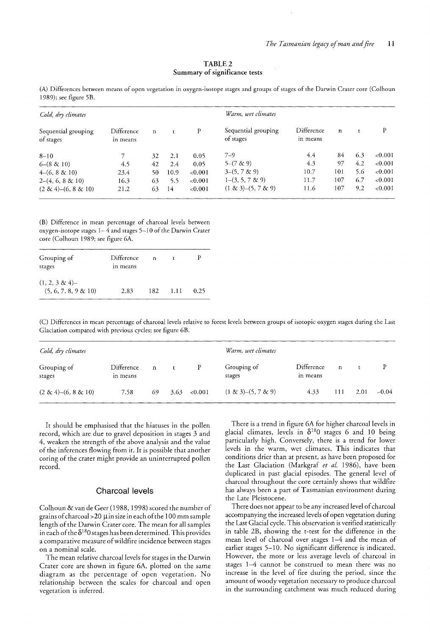| TABLE 2                       |  |  |  |  |  |  |
|-------------------------------|--|--|--|--|--|--|
| Summary of significance tests |  |  |  |  |  |  |

| Cold, dry climates               |                        |             |      | Warm, wet climates |                                  |                        |              |     |            |
|----------------------------------|------------------------|-------------|------|--------------------|----------------------------------|------------------------|--------------|-----|------------|
| Sequential grouping<br>of stages | Difference<br>in means | $\mathbf n$ |      | P                  | Sequential grouping<br>of stages | Difference<br>in means | $\mathbf{n}$ |     | P          |
| $8 - 10$                         |                        | 32          | 2.1  | 0.05               | $7 - 9$                          | 4.4                    | 84           | 6.3 | ${<}0.001$ |
| $6 - (8 \& 10)$                  | 4.5                    | 42          | 2.4  | 0.05               | $5-(7 \& 9)$                     | 4.3                    | 97           | 4.2 | ${<}0.001$ |
| $4-(6, 8 \& 10)$                 | 23.4                   | 50          | 10.9 | < 0.001            | $3-(5, 7 \& 9)$                  | 10.7                   | 101          | 5.6 | ${<}0.001$ |
| $2-(4, 6, 8 \& 10)$              | 16.3                   | 63          | 5.5  | < 0.001            | $1-(3, 5, 7 \& 9)$               | 11.7                   | 107          | 6.7 | < 0.001    |
| $(2 \& 4)$ – $(6, 8 \& 10)$      | 21.2                   | 63          | 14   | < 0.001            | $(1 \& 3)$ – $(5, 7 \& 9)$       | 11.6                   | 107          | 9.2 | ${<}0.001$ |

(A) Differences between means of open vegetation in oxygen-isotope stages and groups of stages of the Darwin Crater core (Colhoun 1989); see figure 5B.

(B) Difference in mean percentage of charcoal levels between oxygen-isotope stages  $1-4$  and stages  $5-10$  of the Darwin Crater core (Colhoun 1989; see figure 6A.

| Grouping of<br>stages                       | Difference<br>in means | n    |      |      |
|---------------------------------------------|------------------------|------|------|------|
| $(1, 2, 3 \& 4)$<br>$(5, 6, 7, 8, 9 \& 10)$ | 2.83                   | 182. | 1.11 | 0.25 |

(C) Differences in mean percentage of charcoal levels relative to forest levels between groups ofisotopic oxygen stages during the Last Glaciation compared with previous cycles; see figure 6B.

| Cold, dry climates          |                        |    |      | Warm, wet climates |                            |                        |             |      |         |
|-----------------------------|------------------------|----|------|--------------------|----------------------------|------------------------|-------------|------|---------|
| Grouping of<br>stages       | Difference<br>in means | n  |      | P                  | Grouping of<br>stages      | Difference<br>in means | $\mathbf n$ |      |         |
| $(2 \& 4)$ - $(6, 8 \& 10)$ | 7.58                   | 69 | 3.63 | ${<}0.001$         | $(1 \& 3)$ – $(5, 7 \& 9)$ | 4.33                   | 111         | 2.01 | $-0.04$ |

It should be emphasised that the hiatuses in the pollen record, which are due to gravel deposition in stages 3 and 4, weaken the strength of the above analysis and the value of the inferences flowing from it. It is possible that another coring of the crater might provide an uninterrupted pollen record.

#### Charcoal levels

Colhoun & van de Geer (1988, 1998) scored the number of grains of charcoal >  $20 \mu$  in size in each of the 100 mm sample length of the Darwin Crater core. The mean for all samples in each of the  $\delta^{18}0$  stages has been determined. This provides a comparative measure of wildfire incidence between stages on a nominal scale.

The mean relative charcoal levels for stages in the Darwin Crater core are shown in figure 6A, plotted on the same diagram as the percentage of open vegetation. No relationship between the scales for charcoal and open vegetation is inferred.

There is a trend in figure 6A for higher charcoal levels in glacial climates, levels in  $\delta^{18}0$  stages 6 and 10 being particularly high. Conversely, there is a trend for lower levels in the warm, wet climates. This indicates that conditions drier than at present, as have been proposed for the Last Glaciation (Markgraf et al. 1986), have been duplicated in past glacial episodes. The general level of charcoal throughout the core certainly shows that wildfire has always been a part of Tasmanian environment during the Late Pleistocene.

There does not appear to be any increased level of charcoal accompanying the increased levels of open vegetation during the Last Glacial cycle. This observation is verified statistically in table 2B, showing the t-test for the difference in the mean level of charcoal over stages 1-4 and the mean of earlier stages 5-10. No significant difference is indicated. However, the more or less average levels of charcoal in stages 1-4 cannot be construed to mean there was no increase in the level of fire during the period, since the amount of woody vegetation necessary to produce charcoal in the surrounding catchment was much reduced during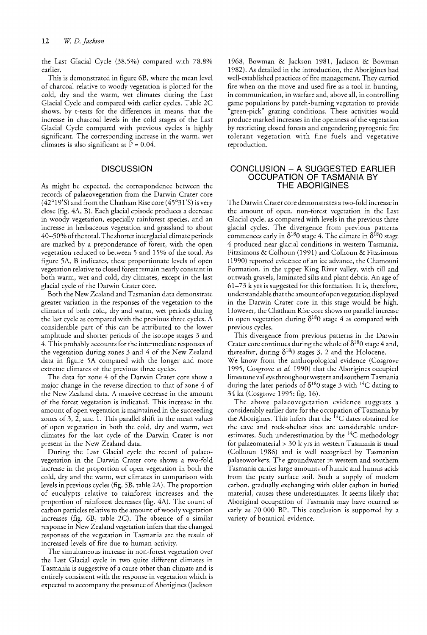the Last Glacial Cycle (38.5%) compared with 78.8% earlier.

This is demonstrated in figure 6B, where the mean level of charcoal relative to woody vegetation is plotted for the cold, dry and the warm, wet climates during the Last Glacial Cycle and compared with earlier cycles. Table 2C shows, by t-tests for the differences in means, that the increase in charcoal levels in the cold stages of the Last Glacial Cycle compared with previous cycles is highly significant. The corresponding increase in the warm, wet climates is also significant at  $\bar{P} = 0.04$ .

## **DISCUSSION**

As might be expected, the correspondence between the records of palaeovegetation from the Darwin Crater core (42°19'5) and from the Chatham Rise core (45°31'5) is very close (fig. 4A, B). Each glacial episode produces a decrease in woody vegetation, especially rainforest species, and an increase in herbaceous vegetation and grassland to about 40-50% ofthe total. The shorterinterglacial climate periods are marked by a preponderance of forest, with the open vegetation reduced to between 5 and 15% of the total. As figure 5A, B indicates, these proportionate levels of open vegetation relative to closed forest remain nearly constant in both warm, wet and cold, dry climates, except in the last glacial cycle of the Darwin Crater core.

Both the New Zealand and Tasmanian data demonstrate greater variation in the responses of the vegetation to the climates of both cold, dry and warm, wet periods during the last cycle as compared with the previous three cycles. A considerable part of this can be attributed to the lower amplitude and shorter periods of the isotope stages 3 and 4. This probably accounts for the intermediate responses of the vegetation during zones 3 and 4 of the New Zealand data in figure 5A compared with the longer and more extreme climates of the previous three cycles.

The data for zone 4 of the Darwin Crater core show a major change in the reverse direction to that of zone 4 of the New Zealand data. A massive decrease in the amount of the forest vegetation is indicated. This increase in the amount of open vegetation is maintained in the succeeding zones of  $3$ ,  $2$ , and  $1$ . This parallel shift in the mean values of open vegetation in both the cold, dry and warm, wet climates for the last cycle of the Darwin Crater is not present in the New Zealand data.

During the Last Glacial cycle the record of palaeovegetation in the Darwin Crater core shows a two-fold increase in the proportion of open vegetation in both the cold, dry and the warm, wet climates in comparison with levels in previous cycles (fig. 5B, table 2A). The proportion .of eucalypts relative to rainforest increases and the proportion of rainforest decreases (fig. 4A). The count of carbon particles relative to the amount of woody vegetation increases (fig. 6B, table 2C). The absence of a similar response in New Zealand vegetation infers that the changed responses of the vegetation in Tasmania are the result of increased levels of fire due to human activity.

The simultaneous increase in non-forest vegetation over the Last Glacial cycle in two quite different climates in Tasmania is suggestive of a cause other than climate and is entirely consistent with the response in vegetation which is expected to accompany the presence of Aborigines (Jackson

1968, Bowman & Jackson 1981, Jackson & Bowman 1982). As detailed in the introduction, the Aborigines had well-established practices of fire management. They carried fire when on the move and used fire as a tool in hunting, in communication, in warfare and, above all, in controlling game populations by patch-burning vegetation to provide "green-pick" grazing conditions. These activities would produce marked increases in the openness of the vegetation by restricting closed forests and engendering pyrogenic fire tolerant vegetation with fine fuels and vegetative reproduction.

## CONCLUSION - A SUGGESTED EARLIER OCCUPATION OF TASMANIA BY THE ABORIGINES

The Darwin Crater core demonstrates a two-fold increase in the amount of open, non-forest vegetation in the Last Glacial cycle, as compared with levels in the previous three glacial cycles. The divergence from previous patterns commences early in  $\delta^{18}$ 0 stage 4. The climate in  $\delta^{18}$ 0 stage 4 produced near glacial conditions in western Tasmania. Fitzsimons & Colhoun (1991) and Colhoun & Fitzsimons (1990) reported evidence of an ice advance, the Chamouni Formation, in the upper King River valley, with till and outwash gravels, laminated silts and plant debris. An age of 61-73 k yrs is suggested for this formation. It is, therefore, understandable that the amount ofopen vegetation displayed in the Darwin Crater core in this stage would be high. However, the Chatham Rise core shows no parallel increase in open vegetation during  $\delta^{18}0$  stage 4 as compared with previous cycles.

This divergence from previous patterns in the Darwin Crater core continues during the whole of  $\delta^{18}0$  stage 4 and, thereafter, during  $\delta^{18}0$  stages 3, 2 and the Holocene. We know from the anthropological evidence (Cosgrove 1995, Cosgrove et al. 1990) that the Aborigines occupied limestone valleysthroughoutwestern and southernTasmania during the later periods of  $\delta^{18}$ 0 stage 3 with <sup>14</sup>C dating to 34 ka (Cosgrove 1995: fig. 16).

The above palaeovegetation evidence suggests a considerably earlier date for the occupation of Tasmania by the Aborigines. This infers that the  ${}^{14}C$  dates obtained for the cave and rock-shelter sites are considerable underestimates. Such underestimation by the <sup>14</sup>C methodology for palaeomaterial > 30 k yrs in western Tasmania is usual (Colhoun 1986) and is well recognised by Tasmanian palaeoworkers. The groundwater in western and southern Tasmania carries large amounts of humic and humus acids from the peaty surface soil. Such a supply of modern carbon, gradually exchanging with older carbon in buried material, causes these underestimates. It seems likely that Aboriginal occupation of Tasmania may have ocurred as early as 70 000 BP. This conclusion is supported by a variety of botanical evidence.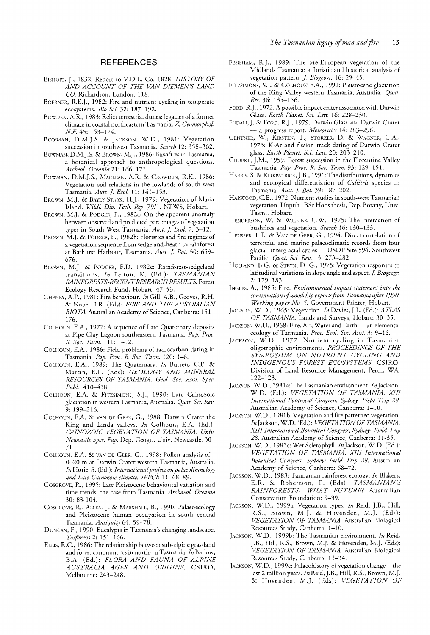# **REFERENCES**

- BISHOFF, J., 1832: Report to V.D.L. Co. 1828. *HISTORY OF AND ACCOUNT OF THE VAN DIEMEN'S LAND* CO. Richardson, London: 118.
- BOERNER, R.E.]., 1982: Fire and nutrient cycling in temperate ecosystems. *Bio Sci.* 32: 187-192.
- BOWDEN, A.R., 1983: Relict terrestrial dunes: legacies of a former climate in coastal northeastern Tasmania. Z. Geomorphol. *NF.* 45: 153-174.
- BOWMAN, D.M.J.S. & JACKSON, W.D., 1981: Vegetation succession in southwest Tasmania. *Search* 12: 358-362.
- BOWMAN, D.M.].S. & BROWN, M.J., 1986: Bushfires in Tasmania, a botanical approach to anthropological questions. *Archeol. Oceania* 21: 166-171.
- BOWMAN, D.M.J.S., MACLEAN, A.R. & CROWDEN, R.K., 1986: Vegetation-soil relations in the lowlands of south-west Tasmania. Aust. J. Ecol. 11: 141-153.
- BROWN, M.J. & BAYLy-STARK, H.J., 1979: Vegetation of Maria Island. *Wildl. Div. Tech. Rep.* 79/1. NPWS, Hobart.
- BROWN, M.J. & PODGER, F., 1982a: On the apparent anomaly between observed and predicted percentages of vegetation types in South-West Tasmania. Aust. J. Ecol. 7: 3-12.
- BROWN, M.J. & PODGER, F., 1982b: Floristics and fire regimes of a vegetation sequence from sedgeland-heath to rainforest at Bathurst Harbour, Tasmania. Aust. J. Bot. 30: 659-676.
- BROWN, M.J. & PODGER, F.D. 1982c: Rainforest-sedgeland transitions. *In* Felton, K. (Ed.): *TASMANIAN RAINFORESTS-RECENTRESEARCHRESULTS.* Forest Ecology Research Fund, Hobart: 47-53.
- CHENEY, A.P., 1981: Fire behaviour. *In* Gill, A.B., Groves, R.H. & Nobel, LR. (Eds): *FIRE AND THE AUSTRALIAN BIOTA*. Australian Academy of Science, Canberra: 151-176.
- COLHOUN, E.A., 1977: A sequence of Late Quaternary deposits at Pipe Clay Lagoon southeastern Tasmania. *Pap. Proc. R. Soc. Tasm.* 111: 1-12.
- COLHOUN, E.A., 1986: Field problems of radiocarbon dating in Tasmania. *Pap. Proc. R. Soc. Tasm.* 120: 1-6.
- COLHOUN, E.A., 1989: The Quaternary. *In* Burrett, C.F. & Martin, E.L. (Eds): *GEOLOGY AND MINERAL RESOURCES OF TASMANIA. Geol. Soc. Aust. Spec. Publ.: 410-418.*
- COLHOUN, E.A. & FITZSIMONS, S.J., 1990: Late Cainozoic glaciation in western Tasmania, Australia. *Quat. Sci. Rev.* 9: 199-216.
- COLHOUN, E.A. & VAN DE GEER, G., 1988: Darwin Crater the King and Linda valleys. *In* Colhoun, E.A. (Ed.): *CAINOZOIC VEGETATION OF TASMANIA. Univ. Newcastle Spec. Pap.* Dep. Geogr., Univ. Newcastle: 30- 71.
- COLHOUN, E.A. & VAN DE GEER, G., 1998: Pollen analysis of 0-20 m at Darwin Crater western Tasmania, Australia. *In* Horie, S. (Ed.): *Internationalproject on palaeolimnology and Late Cainozoic climate. IPPCE* 11: 68-89.
- COSGROVE, R., 1995: Late Pleistocene behavioural variation and time trends: the case from Tasmania. *Archaeol. Oceania* 30: 83-104.
- COSGROVE, R., ALLEN, J. & MARSHALL, B., 1990: Palaeoecology and Pleistocene human occupation in south central Tasmania. *Antiquity* 64: 59-78.
- DUNCAN, F., 1990: Eucalypts in Tasmania's changing landscape. *Tasforests* 2: 151-166.
- ELLIS, R.C., 1986: The relationship between sub-alpine grassland and forest communities in northern Tasmania. *In* Barlow, B.A. (Ed.): *FLORA AND FAUNA OF ALPINE AUSTRALIA AGES AND ORIGINS.* CSIRO, Melbourne: 243-248.
- FENSHAM, R.J., 1989: The pre-European vegetation of the Midlands Tasmania: a floristic and historical analysis of vegetation pattern. *J. Biogeogr*. 16: 29-45.
- FITZSIMONS, S.J. & COLHOUN E.A., 1991: Pleistocene glaciation of the King Valley western Tasmania, Australia. *Quat. Res.* 36: 135-156.
- FORD, R.J., 1972. A possible impact crater associated with Darwin Glass. *Earth Planet. Sci. Lett.* 16: 228-230.
- FUDALI, J. & FORD, R.J., 1979. Darwin Glass and Darwin Crater - a progress report. *Meteoritics* 14: 283-296.
- GENTNER, W., KIRSTEN, T., STORZER, D. & WAGNER, G.A., 1973: K-Ar and fission track dating of Darwin Crater glass. *Earth Planet. Sci. Lett.* 20: 203-210.
- GILBERT, ].M., 1959. Forest succession in the Florentine Valley Tasmania. *Pap. Proc. R. Soc. Tasm.* 93: 129-151.
- HARRIS, S. & KIRKPATRICK, J.B., 1991: The distributions, dynamics and ecological differentiation of *Callitris* species in Tasmania. *Aust. J Bot.* 39: 187-202.
- HARWOOD, C.E., 1972. Nutrient studies in south-west Tasmanian vegetation. Unpubl. BSc Hons thesis, Dep. Botany, Univ. Tasm., Hobart.
- HENDERSON, W. & WILKINS, C.W., 1975: The interaction of bushfires and vegetation. *Search* 16: 130-133.
- HEUSSER, L.E. & VAN DE GEER, G., 1994: Direct correlation of terrestrial and marine palaeoclimatic records from four glacial-interglacial cycles - DSDP Site 594. Southwest Pacific. *Quat. Sci. Rev.* 13: 273-282.
- HOLLAND, B.G. & STEYN, D. G., 1975: Vegetation responses to latitudinal variations in slope angle and aspect. *J. Biogeogr*. 2: 179-183.
- INGLES, A., 1985: Fire. *Environmental Impact statement into the continuation ofwoodchip exportsfrom Tasmania after 1990. Working paper No.5.* Government Printer, Hobart.
- JACKSON, W.D., 1965: Vegetation. *In* Davies, J.L. (Ed.): *ATLAS OF TASMANIA.* Lands and Surveys, Hobart: 30-35.
- JACKSON, W.D., 1968: Fire, Air, Water and Earth an elemental ecology of Tasmania. *Proc. Ecol. Soc. Aust.* 3: 9-16.
- JACKSON, W.D., 1977: Nutrient cycling in Tasmanian oligotrophic environments. *PROCEEDINGS OF THE SYMPOSIUM ON NUTRIENT CYCLING AND INDIGENOUS FOREST ECOSYSTEMS.* CSIRO, Division of Land Resource Management, Perth, WA: 122-123.
- JACKSON, W.D., 1981a: The Tasmanian environment. *InJackson,* W.D. (Ed.): *VEGETATION OF TASMANIA. XIII International Botanical Congress, Sydney: Field Trip 28.* Australian Academy of Science, Canberra: 1-10.
- JACKSON, W.D., 1981b: Vegetation and fire patterned vegetation. *InJackson,* W.D. (Ed.): *VEGETATION OF TASMANIA. XIII International Botanical Congress, Sydney: Field Trip* 28. Australian Academy of Science, Canberra: 11-35.
- JACKSON, W.D., 1981c: Wet Sclerophyll. *In* Jackson, W.D. (Ed.): *VEGETATION OF TASMANIA. XIII International Botanical Congress, Sydney: Field Trip* 28. Australian Academy of Science, Canberra: 68-72.
- JACKSON, W.D., 1983: Tasmanian rainforest ecology. *In* Blakers, E.R. & Robertson, P. (Eds): *TASMANIAN'S RAINFORESTS, WHA T FUTURE?* Australian Conservation Foundation: 9-39.
- JACKSON, W.D., 1999a: Vegetation types. *In* Reid, J.B., Hill, R.S., Brown, M.J. & Hovenden, M.J. (Eds): *VEGETATION OF TASMANIA.* Australian Biological Resources Study, Canberra: 1-10.
- JACKSON, W.D., 1999b: The Tasmanian environment. *In* Reid, J.B., Hill, R.S., Brown, M.J. & Hovenden, M.]. (Eds): *VEGETATION OF TASMANIA.* Australian Biological Resources Study, Canberra: 11-34.
- JACKSON, W.D., 1999c: Palaeohistory of vegetation change the last 2 million years. *In* Reid, J.B., Hill, R.S., Brown, M.]. & Hovenden, M.J. (Eds): *VEGETATION OF*